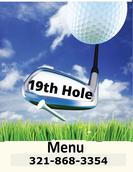# COTHOLS **Menu 321-868-3354**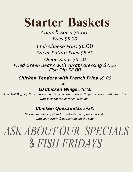# **Starter Baskets**

*Chips* & *Salsa \$5.00 Fries \$5.00*

## *Chili Cheese Fries \$6.*00

*Sweet Potato Fries \$5.50*

*Onion Rings \$5.50 Fried Green Beans with cusabi dressing \$7.00 Fish Dip \$8.00*

*Chicken Tenders with French Fries \$9.00*

**or**

*10 Chicken Wings \$10.00*

*Plain, Hot Buffalo, Garlic Parmesan, Teriyaki, Asian Sweet Ginger or Sweet Baby Rays BBQ with bleu cheese or ranch dressing*

## *Chicken Quesadillas \$9.00*

*Blackened chicken, cheddar and salsa in a floured tortilla with sour cream* & *guacamole on the side*

# *ASK ABOUT OUR SPECIALS* & *FISH FRIDAYS*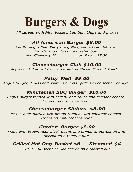# **Burgers & Dogs**

*All served with Ms. Vickie's Sea Salt Chips and pickles*

#### *All American Burger \$8.00*

*1/4 lb. Angus Beef Patty fire grilled, served with lettuce, tomato and onion on a toasted bun Add Cheese \$.50 Add Bacon \$7.50*

#### *Cheeseburger Club \$10.00*

*Applewood Smoked Bacon, served on Three Slices of Toast*

#### *Patty Melt \$9.00*

*Angus Burger, Swiss and sautéed onions, grilled to perfection on Rye*

#### *Minutemen BBQ Burger \$10.00*

*Angus Burger topped with bacon, bbq sauce and cheddar cheese. Served on a toasted bun.*

#### *Cheeseburger Sliders \$8.00*

Angus *beef patties fire grilled topped with cheddar cheese Served on mini toasted buns*

#### *Garden Burger \$8.00*

*Made with brown rice, black beans and grilled to perfection and served on a toasted bun*

#### *Grilled Hot Dog Basket \$6 Steamed \$4*

*1/4 lb. All Beef Hot Dog served on a toasted bun*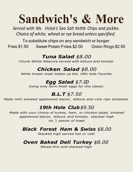# **Sandwich's & More**

*Served with Ms. Vickie's Sea Salt Kettle Chips and pickles. Choice of white, wheat or rye bread unless specified.* 

To substitute chips on any sandwich or burger: Fries \$1.50 Sweet Potato Fries \$2.00 Onion Rings \$2.50

## *Tuna Salad \$8.00*

*Chunk White Albacore served with lettuce and tomato*

# *Chicken Salad \$8.00*

*White breast meat makes up this 19th Hole Favorite*

# *Egg Salad \$7.00*

*Using only farm fresh eggs for this classic*

# *B.L.T \$7.50*

*Made with smoked applewood bacon, lettuce and vine ripe tomatoes*

# *19th Hole Club\$9.50*

*Made with your choice of turkey, ham, or chicken salad, smoked applewood bacon, lettuce and tomato, stacked high on* 3 *pieces of toast*

## *Black Forest Ham & Swiss \$8.00*

*Stacked high served hot or cold*

# *Oven Baked Deli Turkey \$8.00*

*Sliced thin and stacked high*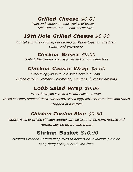*Grilled Cheese \$6.00*

*Plain and simple on your choice of bread Add Tomato .50 Add Bacon \$1.50*

## *19th Hole Grilled Cheese \$8.00*

*Our take on the original, but served on Texas toast w*/ *cheddar, swiss, and provolone*

#### *Chicken Breast \$9.00*

*Grilled, Blackened or Crispy, served on a toasted bun*

#### *Chicken Caesar Wrap \$8.00*

*Everything you love in a salad now in a wrap. Grilled chicken, romaine, parmesan, croutons,* & *caesar dressing*

#### *Cobb Salad Wrap \$8.00*

*Everything you love in a salad, now in a wrap. Diced chicken, smoked thick-cut bacon, sliced egg, lettuce, tomatoes and ranch wrapped in a tortilla*

## *Chicken Cordon Blue \$9.50*

*Lightly fried or grilled chicken topped with swiss, shaved ham, lettuce and tomato served on a toasted bun*

## **Shrimp Basket** *\$10.00*

*Medium Breaded Shrimp deep fried to perfection, available plain or bang-bang style, served with fries*